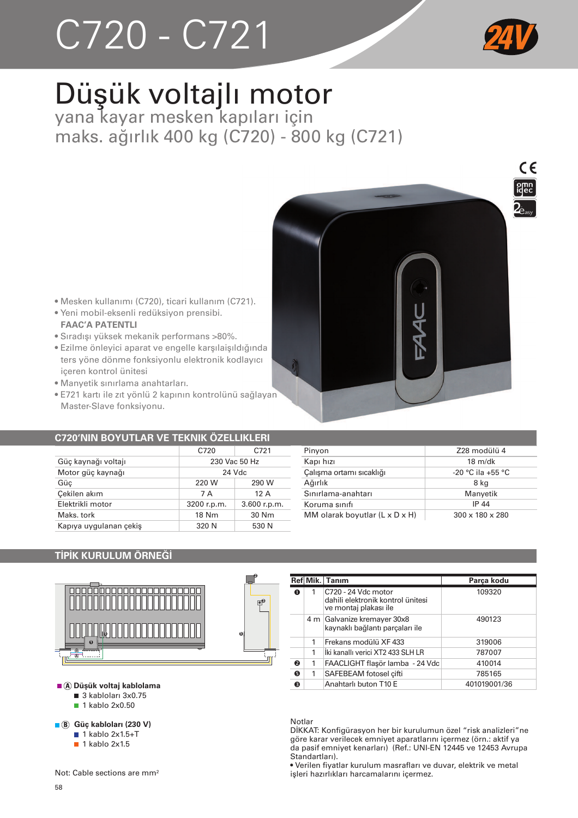# $C720 - C721$



## Düşük voltajlı motor yana kayar mesken kapıları için

maks. ağırlık 400 kg (C720) - 800 kg (C721)



- · Mesken kullanımı (C720), ticari kullanım (C721).
- · Yeni mobil-eksenli redüksiyon prensibi. **FAAC'A PATENTLI**
- · Sıradışı yüksek mekanik performans >80%.
- · Ezilme önleyici aparat ve engelle karşılaişıldığında ters yöne dönme fonksiyonlu elektronik kodlayıcı iceren kontrol ünitesi
- · Manyetik sınırlama anahtarları.
- · E721 kartı ile zıt yönlü 2 kapının kontrolünü sağlayan Master-Slave fonksiyonu.

#### **C720'NIN BOYUTLAR VE TEKNIK ÖZELLIKLERI**

|                        | C720          | C721         |
|------------------------|---------------|--------------|
| Güç kaynağı voltajı    | 230 Vac 50 Hz |              |
| Motor güç kaynağı      | 24 Vdc        |              |
| Güç                    | 220 W         | 290 W        |
| Çekilen akım           | 7 A           | 12A          |
| Elektrikli motor       | 3200 r.p.m.   | 3.600 r.p.m. |
| Maks, tork             | 18 Nm         | 30 Nm        |
| Kapıya uygulanan çekiş | 320 N         | 530 N        |

| 728 modülü 4                |
|-----------------------------|
| $18 \text{ m/dk}$           |
| $-20$ °C ila $+55$ °C       |
| 8 kg                        |
| Manyetik                    |
| IP 44                       |
| $300 \times 180 \times 280$ |
|                             |

#### **TİPİK KURULUM ÖRNEĞİ**



A Düşük voltaj kablolama

- 3 kabloları 3x0.75
- 1 kablo 2x0.50

```
■ 8 Güç kabloları (230 V)
```
 $\blacksquare$  1 kablo 2x1.5+T

 $\blacksquare$  1 kablo 2x1.5

Not: Cable sections are mm<sup>2</sup>

|   |   | Ref Mik. Tanım                                                                    | Parca kodu   |
|---|---|-----------------------------------------------------------------------------------|--------------|
|   | 1 | C720 - 24 Vdc motor<br>dahili elektronik kontrol ünitesi<br>ve montaj plakası ile | 109320       |
|   |   | 4 m Galvanize kremayer 30x8<br>kaynaklı bağlantı parçaları ile                    | 490123       |
|   | 1 | Frekans modülü XF 433                                                             | 319006       |
|   | 1 | İki kanallı verici XT2 433 SI H I R                                               | 787007       |
| ø | 1 | FAACLIGHT flaşör lamba - 24 Vdc                                                   | 410014       |
| A | 1 | SAFEBEAM fotosel cifti                                                            | 785165       |
| ❸ |   | Anahtarlı buton T10 F                                                             | 401019001/36 |

#### Notlar

ונ<br>ו

DİKKAT: Konfigürasyon her bir kurulumun özel "risk analizleri"ne göre karar verilecek emniyet aparatlarını içermez (örn.: aktif ya da pasif emniyet kenarları) (Ref.: UNI-EN 12445 ve 12453 Avrupa Standartları)

· Verilen fiyatlar kurulum masrafları ve duvar, elektrik ve metal işleri hazırlıkları harcamalarını içermez.